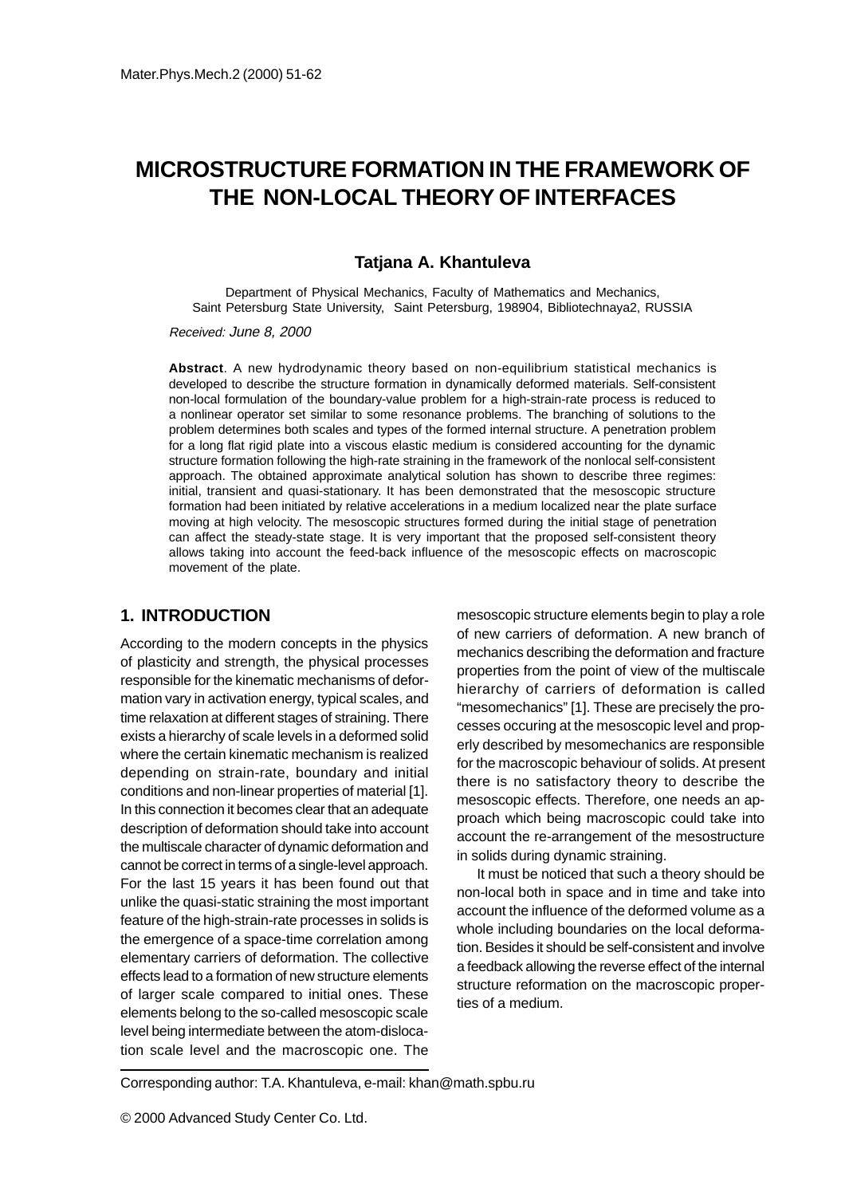# **MICROSTRUCTURE FORMATION IN THE FRAMEWORK OF THE NON-LOCAL THEORY OF INTERFACES**

#### **Tatjana A. Khantuleva**

Department of Physical Mechanics, Faculty of Mathematics and Mechanics, Saint Petersburg State University, Saint Petersburg, 198904, Bibliotechnaya2, RUSSIA

Received: June 8, 2000

**Abstract**. A new hydrodynamic theory based on non-equilibrium statistical mechanics is developed to describe the structure formation in dynamically deformed materials. Self-consistent non-local formulation of the boundary-value problem for a high-strain-rate process is reduced to a nonlinear operator set similar to some resonance problems. The branching of solutions to the problem determines both scales and types of the formed internal structure. A penetration problem for a long flat rigid plate into a viscous elastic medium is considered accounting for the dynamic structure formation following the high-rate straining in the framework of the nonlocal self-consistent approach. The obtained approximate analytical solution has shown to describe three regimes: initial, transient and quasi-stationary. It has been demonstrated that the mesoscopic structure formation had been initiated by relative accelerations in a medium localized near the plate surface moving at high velocity. The mesoscopic structures formed during the initial stage of penetration can affect the steady-state stage. It is very important that the proposed self-consistent theory allows taking into account the feed-back influence of the mesoscopic effects on macroscopic movement of the plate.

#### **1. INTRODUCTION**

According to the modern concepts in the physics of plasticity and strength, the physical processes responsible for the kinematic mechanisms of deformation vary in activation energy, typical scales, and time relaxation at different stages of straining. There exists a hierarchy of scale levels in a deformed solid where the certain kinematic mechanism is realized depending on strain-rate, boundary and initial conditions and non-linear properties of material [1]. In this connection it becomes clear that an adequate description of deformation should take into account the multiscale character of dynamic deformation and cannot be correct in terms of a single-level approach. For the last 15 years it has been found out that unlike the quasi-static straining the most important feature of the high-strain-rate processes in solids is the emergence of a space-time correlation among elementary carriers of deformation. The collective effects lead to a formation of new structure elements of larger scale compared to initial ones. These elements belong to the so-called mesoscopic scale level being intermediate between the atom-dislocation scale level and the macroscopic one. The

mesoscopic structure elements begin to play a role of new carriers of deformation. A new branch of mechanics describing the deformation and fracture properties from the point of view of the multiscale hierarchy of carriers of deformation is called "mesomechanics" [1]. These are precisely the processes occuring at the mesoscopic level and properly described by mesomechanics are responsible for the macroscopic behaviour of solids. At present there is no satisfactory theory to describe the mesoscopic effects. Therefore, one needs an approach which being macroscopic could take into account the re-arrangement of the mesostructure in solids during dynamic straining.

It must be noticed that such a theory should be non-local both in space and in time and take into account the influence of the deformed volume as a whole including boundaries on the local deformation. Besides it should be self-consistent and involve a feedback allowing the reverse effect of the internal structure reformation on the macroscopic properties of a medium.

Corresponding author: T.A. Khantuleva, e-mail: khan@math.spbu.ru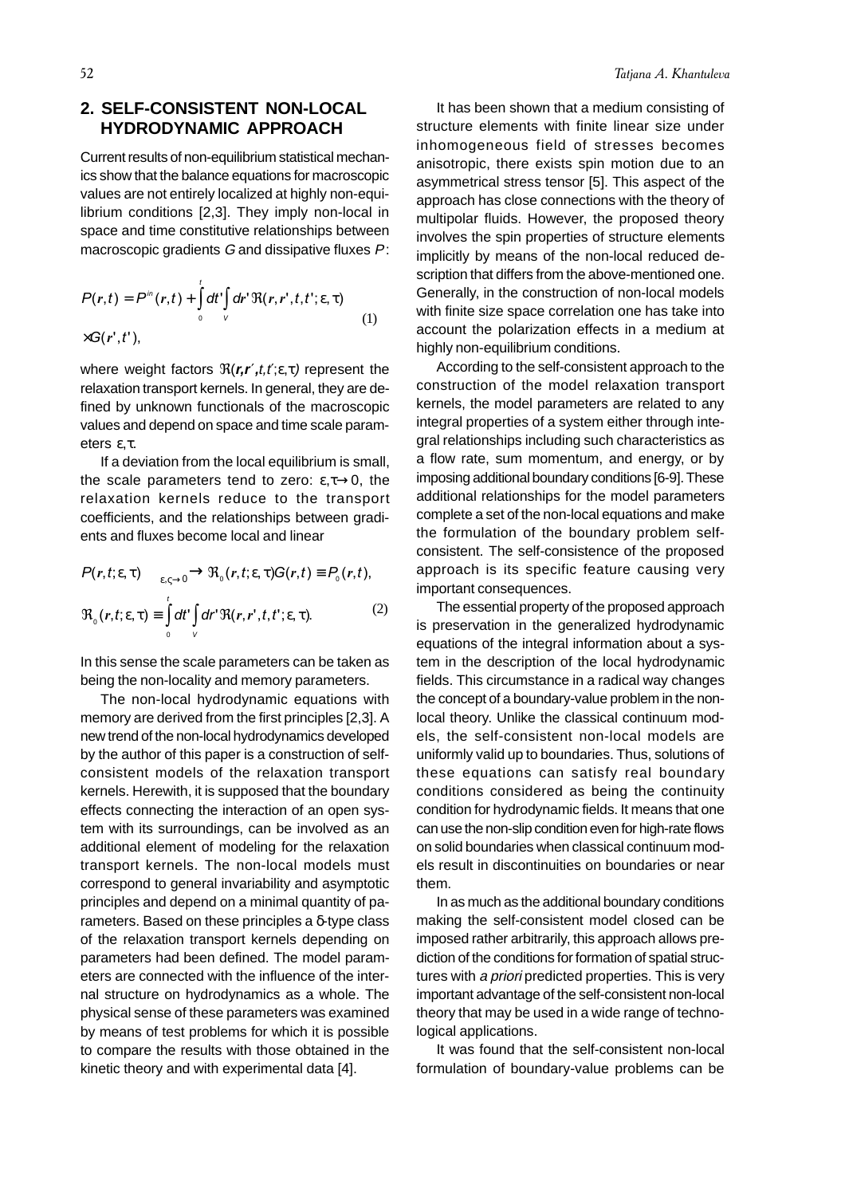## **2. SELF-CONSISTENT NON-LOCAL HYDRODYNAMIC APPROACH**

Current results of non-equilibrium statistical mechanics show that the balance equations for macroscopic values are not entirely localized at highly non-equilibrium conditions [2,3]. They imply non-local in space and time constitutive relationships between macroscopic gradients G and dissipative fluxes P:

$$
P(r,t) = P^{in}(r,t) + \int_{0}^{t} dt' \int_{V} dr' \Re(r,r',t,t';\epsilon,\tau)
$$
  
×G(r',t'), (1)

where weight factors  $\Re(r, r', t, t'; \epsilon, \tau)$  represent the relaxation transport kernels. In general, they are defined by unknown functionals of the macroscopic values and depend on space and time scale parameters ε,τ.

If a deviation from the local equilibrium is small. the scale parameters tend to zero:  $\varepsilon, \tau \rightarrow 0$ , the relaxation kernels reduce to the transport coefficients, and the relationships between gradients and fluxes become local and linear

$$
P(r,t;\varepsilon,\tau) \longrightarrow \mathfrak{R}_0(r,t;\varepsilon,\tau)G(r,t) \equiv P_0(r,t),
$$
  

$$
\mathfrak{R}_0(r,t;\varepsilon,\tau) \equiv \int_0^t dt' \int_V dr' \mathfrak{R}(r,r',t,t';\varepsilon,\tau).
$$
 (2)

In this sense the scale parameters can be taken as being the non-locality and memory parameters.

The non-local hydrodynamic equations with memory are derived from the first principles [2,3]. A new trend of the non-local hydrodynamics developed by the author of this paper is a construction of selfconsistent models of the relaxation transport kernels. Herewith, it is supposed that the boundary effects connecting the interaction of an open system with its surroundings, can be involved as an additional element of modeling for the relaxation transport kernels. The non-local models must correspond to general invariability and asymptotic principles and depend on a minimal quantity of parameters. Based on these principles a δ-type class of the relaxation transport kernels depending on parameters had been defined. The model parameters are connected with the influence of the internal structure on hydrodynamics as a whole. The physical sense of these parameters was examined by means of test problems for which it is possible to compare the results with those obtained in the kinetic theory and with experimental data [4].

It has been shown that a medium consisting of structure elements with finite linear size under inhomogeneous field of stresses becomes anisotropic, there exists spin motion due to an asymmetrical stress tensor [5]. This aspect of the approach has close connections with the theory of multipolar fluids. However, the proposed theory involves the spin properties of structure elements implicitly by means of the non-local reduced description that differs from the above-mentioned one. Generally, in the construction of non-local models with finite size space correlation one has take into account the polarization effects in a medium at highly non-equilibrium conditions.

According to the self-consistent approach to the construction of the model relaxation transport kernels, the model parameters are related to any integral properties of a system either through integral relationships including such characteristics as a flow rate, sum momentum, and energy, or by imposing additional boundary conditions [6-9]. These additional relationships for the model parameters complete a set of the non-local equations and make the formulation of the boundary problem selfconsistent. The self-consistence of the proposed approach is its specific feature causing very important consequences.

The essential property of the proposed approach is preservation in the generalized hydrodynamic equations of the integral information about a system in the description of the local hydrodynamic fields. This circumstance in a radical way changes the concept of a boundary-value problem in the nonlocal theory. Unlike the classical continuum models, the self-consistent non-local models are uniformly valid up to boundaries. Thus, solutions of these equations can satisfy real boundary conditions considered as being the continuity condition for hydrodynamic fields. It means that one can use the non-slip condition even for high-rate flows on solid boundaries when classical continuum models result in discontinuities on boundaries or near them.

In as much as the additional boundary conditions making the self-consistent model closed can be imposed rather arbitrarily, this approach allows prediction of the conditions for formation of spatial structures with a *priori* predicted properties. This is very important advantage of the self-consistent non-local theory that may be used in a wide range of technological applications.

It was found that the self-consistent non-local formulation of boundary-value problems can be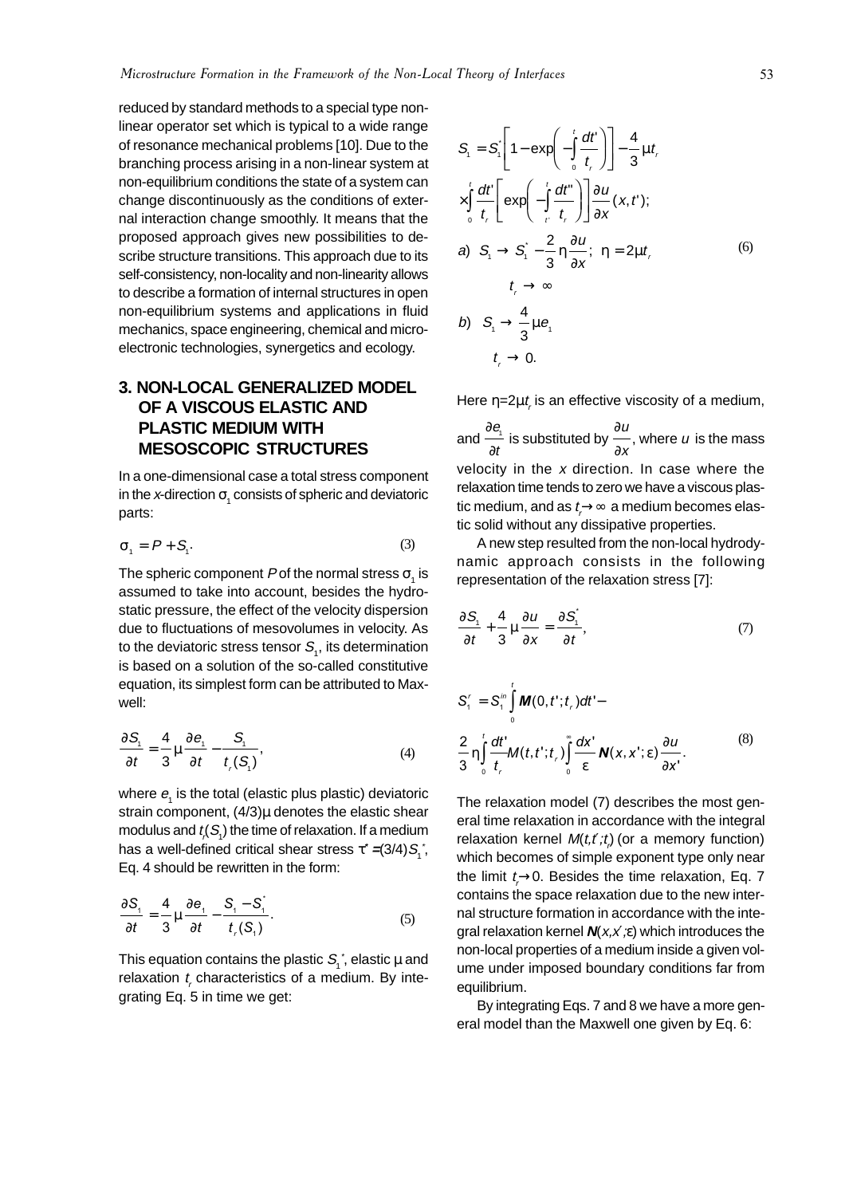reduced by standard methods to a special type nonlinear operator set which is typical to a wide range of resonance mechanical problems [10]. Due to the branching process arising in a non-linear system at non-equilibrium conditions the state of a system can change discontinuously as the conditions of external interaction change smoothly. It means that the proposed approach gives new possibilities to describe structure transitions. This approach due to its self-consistency, non-locality and non-linearity allows to describe a formation of internal structures in open non-equilibrium systems and applications in fluid mechanics, space engineering, chemical and microelectronic technologies, synergetics and ecology.

# **3. NON-LOCAL GENERALIZED MODEL OF A VISCOUS ELASTIC AND PLASTIC MEDIUM WITH MESOSCOPIC STRUCTURES**

In a one-dimensional case a total stress component in the *x*-direction  $\sigma_{_1}$  consists of spheric and deviatoric parts:

$$
\sigma_1 = P + S_1. \tag{3}
$$

The spheric component P of the normal stress  $\sigma_1$  is assumed to take into account, besides the hydrostatic pressure, the effect of the velocity dispersion due to fluctuations of mesovolumes in velocity. As to the deviatoric stress tensor  $\mathcal{S}_{_{1}},$  its determination is based on a solution of the so-called constitutive equation, its simplest form can be attributed to Maxwell:

$$
\frac{\partial S_i}{\partial t} = \frac{4}{3} \mu \frac{\partial e_i}{\partial t} - \frac{S_i}{t_i(S_i)},
$$
(4)

where  $e_1$  is the total (elastic plus plastic) deviatoric strain component,  $(4/3)\mu$  denotes the elastic shear modulus and  $t_{\scriptscriptstyle\!\mathit{(}}(S_{\scriptscriptstyle\mathit{1}})$  the time of relaxation. If a medium has a well-defined critical shear stress  $\tau^*$  =(3/4) $\mathcal{S}_i^*$ , Eq. 4 should be rewritten in the form:

$$
\frac{\partial S_i}{\partial t} = \frac{4}{3} \mu \frac{\partial e_i}{\partial t} - \frac{S_i - S_i^2}{t_i(S_i)}.
$$
 (5)

This equation contains the plastic  $\mathcal{S}^{\vphantom{\dagger}}_i$  elastic  $\mu$  and relaxation  $t<sub>r</sub>$  characteristics of a medium. By integrating Eq. 5 in time we get:

$$
S_{1} = S_{1} \left[ 1 - \exp\left(-\int_{0}^{t} \frac{dt'}{t_{r}}\right) \right] - \frac{4}{3} \mu t_{r}
$$
  
\n
$$
\times \int_{0}^{t} \frac{dt'}{t_{r}} \left[ \exp\left(-\int_{t'}^{t} \frac{dt''}{t_{r}}\right) \right] \frac{\partial u}{\partial x} (x, t');
$$
  
\na)  $S_{1} \rightarrow S_{1} \left(-\frac{2}{3} \eta \frac{\partial u}{\partial x}; \eta = 2\mu t_{r}$   
\n $t_{r} \rightarrow \infty$   
\nb)  $S_{1} \rightarrow \frac{4}{3} \mu e_{1}$   
\n $t_{r} \rightarrow 0$ .  
\n(6)

Here  $\eta = 2\mu t$ , is an effective viscosity of a medium,

and ∂ ∂ e t ).<br>∈ is substituted by ⇒ ∂ u  $\frac{\mathcal{L}}{X}$  , where  $u$  is the mass velocity in the  $x$  direction. In case where the relaxation time tends to zero we have a viscous plastic medium, and as  $t\rightarrow \infty$  a medium becomes elastic solid without any dissipative properties.

A new step resulted from the non-local hydrodynamic approach consists in the following representation of the relaxation stress [7]:

$$
\frac{\partial S_i}{\partial t} + \frac{4}{3} \mu \frac{\partial u}{\partial x} = \frac{\partial S_i}{\partial t},\tag{7}
$$

$$
S'_{1} = S_{1}^{in} \int_{0}^{t} M(0, t'; t_{r}) dt' -
$$
  

$$
\frac{2}{3} \eta \int_{0}^{t} \frac{dt'}{t_{r}} M(t, t'; t_{r}) \int_{0}^{\infty} \frac{dx'}{\varepsilon} N(x, x'; \varepsilon) \frac{\partial u}{\partial x'}.
$$
 (8)

The relaxation model (7) describes the most general time relaxation in accordance with the integral relaxation kernel  $M(t, t';t)$  (or a memory function) which becomes of simple exponent type only near the limit  $t\rightarrow 0$ . Besides the time relaxation, Eq. 7 contains the space relaxation due to the new internal structure formation in accordance with the integral relaxation kernel **N**(x,x′;ε) which introduces the non-local properties of a medium inside a given volume under imposed boundary conditions far from equilibrium.

By integrating Eqs. 7 and 8 we have a more general model than the Maxwell one given by Eq. 6: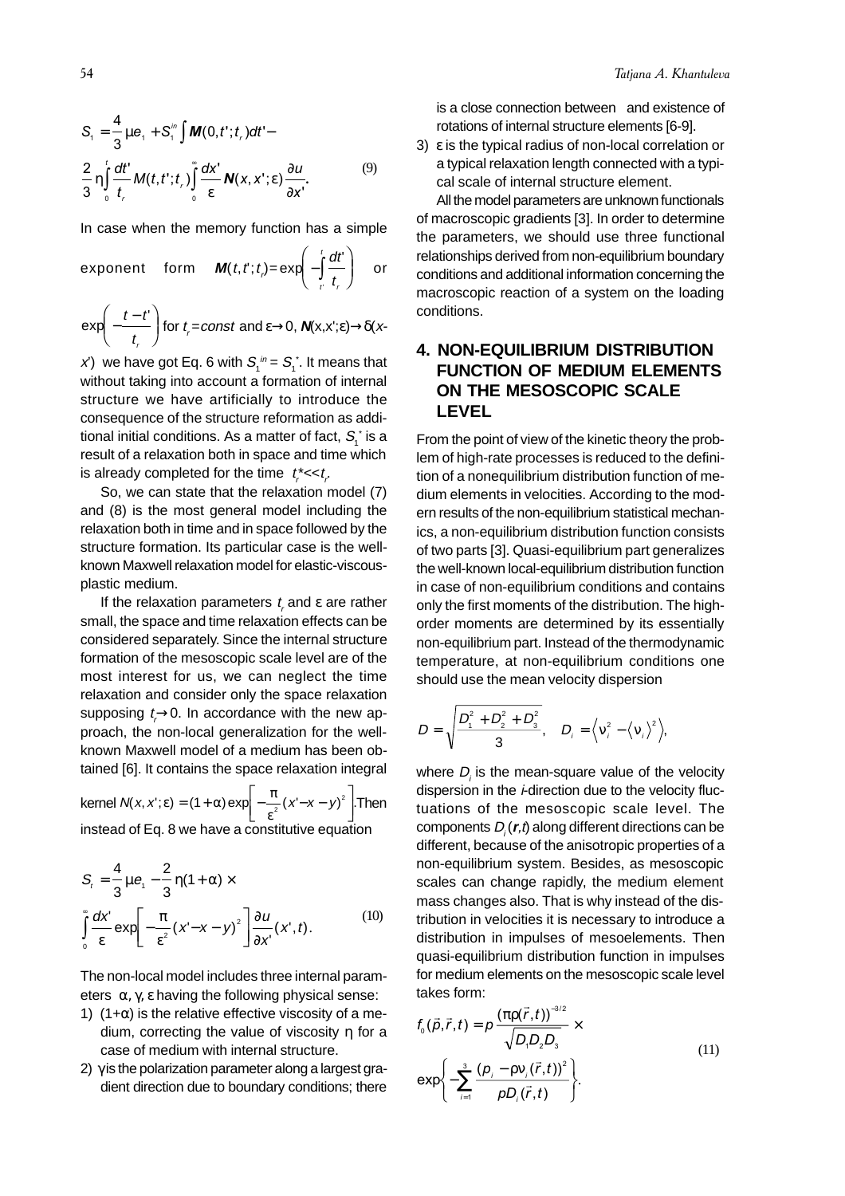$$
S_{1} = \frac{4}{3}\mu e_{1} + S_{1}^{in} \int M(0, t^{*}; t_{r})dt^{*} -
$$
  

$$
\frac{2}{3} \eta \int_{0}^{t} \frac{dt^{*}}{t_{r}} M(t, t^{*}; t_{r}) \int_{0}^{\infty} \frac{dx^{*}}{\varepsilon} N(x, x^{*}; \varepsilon) \frac{\partial u}{\partial x^{*}}.
$$
 (9)

In case when the memory function has a simple

exponent form 
$$
\mathbf{M}(t, t^*) = \exp\left(-\int_t^t \frac{dt^i}{t_i}\right)
$$
 or

 $\exp\left(-\frac{t-t'}{t}\right)$  for  $t_{r}$ =const and  $\varepsilon \rightarrow 0$ , **N**(x,x'; $\varepsilon$ ) $\rightarrow$ δ(x- $\overline{\mathcal{C}}$  $\overline{\phantom{a}}$ r

*x*') we have got Eq. 6 with  $\mathcal{S}_1^{\ j n} = \mathcal{S}_1^{\ \ast}$ . It means that without taking into account a formation of internal structure we have artificially to introduce the consequence of the structure reformation as additional initial conditions. As a matter of fact,  $\mathcal{S}^{\,*}_{\scriptscriptstyle \text{I}}$  is a result of a relaxation both in space and time which is already completed for the time  $t_i^* \ll t_i$ .

So, we can state that the relaxation model (7) and (8) is the most general model including the relaxation both in time and in space followed by the structure formation. Its particular case is the wellknown Maxwell relaxation model for elastic-viscousplastic medium.

If the relaxation parameters  $t_{\tau}$  and  $\varepsilon$  are rather small, the space and time relaxation effects can be considered separately. Since the internal structure formation of the mesoscopic scale level are of the most interest for us, we can neglect the time relaxation and consider only the space relaxation supposing  $t\rightarrow 0$ . In accordance with the new approach, the non-local generalization for the wellknown Maxwell model of a medium has been obtained [6]. It contains the space relaxation integral

kernel  $N(x, x'; \varepsilon) = (1 + \alpha) \exp \left[-\frac{\pi}{2}(x' - x - y)^2\right]$ . ε  $= (1 + \alpha) \exp \left[-\frac{\pi}{\epsilon^2}(x'-x-y)^2\right]$ . Then  $\overline{\mathsf{L}}$  $\overline{a}$ instead of Eq. 8 we have a constitutive equation

$$
S_{t} = \frac{4}{3}\mu e_{t} - \frac{2}{3}\eta(1+\alpha) \times \int_{0}^{\infty} \frac{dx'}{\varepsilon} \exp\left[-\frac{\pi}{\varepsilon^{2}}(x'-x-y)^{2}\right] \frac{\partial u}{\partial x'}(x',t).
$$
 (10)

The non-local model includes three internal parameters  $\alpha$ ,  $\gamma$ ,  $\varepsilon$  having the following physical sense:

- 1) (1+ $\alpha$ ) is the relative effective viscosity of a medium, correcting the value of viscosity η for a case of medium with internal structure.
- 2) γ is the polarization parameter along a largest gradient direction due to boundary conditions; there

is a close connection between and existence of rotations of internal structure elements [6-9].

3) ε is the typical radius of non-local correlation or a typical relaxation length connected with a typical scale of internal structure element.

All the model parameters are unknown functionals of macroscopic gradients [3]. In order to determine the parameters, we should use three functional relationships derived from non-equilibrium boundary conditions and additional information concerning the macroscopic reaction of a system on the loading conditions.

# **4. NON-EQUILIBRIUM DISTRIBUTION FUNCTION OF MEDIUM ELEMENTS ON THE MESOSCOPIC SCALE LEVEL**

From the point of view of the kinetic theory the problem of high-rate processes is reduced to the definition of a nonequilibrium distribution function of medium elements in velocities. According to the modern results of the non-equilibrium statistical mechanics, a non-equilibrium distribution function consists of two parts [3]. Quasi-equilibrium part generalizes the well-known local-equilibrium distribution function in case of non-equilibrium conditions and contains only the first moments of the distribution. The highorder moments are determined by its essentially non-equilibrium part. Instead of the thermodynamic temperature, at non-equilibrium conditions one should use the mean velocity dispersion

$$
D = \sqrt{\frac{D_{1}^{2} + D_{2}^{2} + D_{3}^{2}}{3}}, \quad D_{i} = \sqrt{v_{i}^{2} - \langle v_{i} \rangle^{2}}.
$$

where  $D_{\scriptscriptstyle \! i}$  is the mean-square value of the velocity dispersion in the *i*-direction due to the velocity fluctuations of the mesoscopic scale level. The  $\mathsf{components}\ D_{\overline{i}}(\bm{r},t)$  along different directions can be different, because of the anisotropic properties of a non-equilibrium system. Besides, as mesoscopic scales can change rapidly, the medium element mass changes also. That is why instead of the distribution in velocities it is necessary to introduce a distribution in impulses of mesoelements. Then quasi-equilibrium distribution function in impulses for medium elements on the mesoscopic scale level takes form:

$$
f_0(\vec{\rho}, \vec{r}, t) = \rho \frac{(\pi \rho(\vec{r}, t))^{-3/2}}{\sqrt{D_1 D_2 D_3}} \times
$$
  
\n
$$
\exp\left\{-\sum_{i=1}^3 \frac{(\rho_i - \rho v_i(\vec{r}, t))^2}{\rho D_i(\vec{r}, t)}\right\}.
$$
\n(11)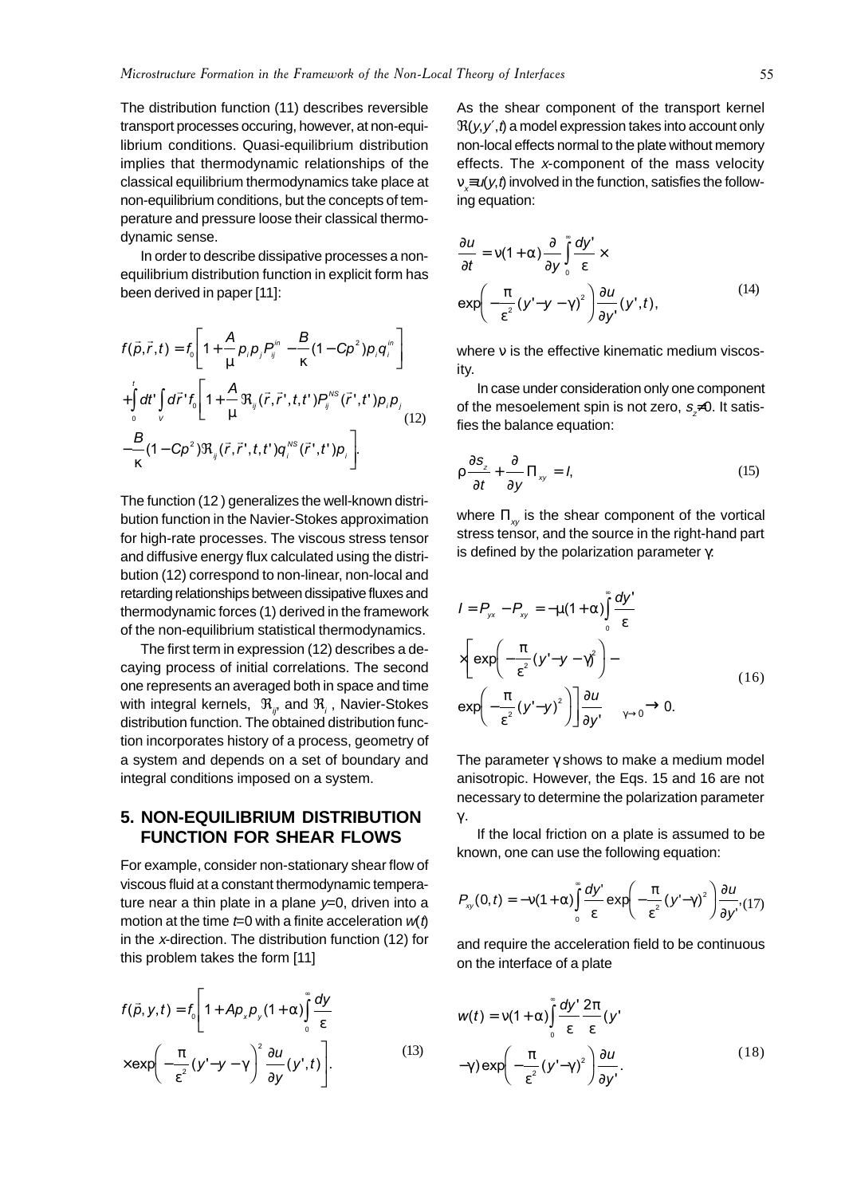The distribution function (11) describes reversible transport processes occuring, however, at non-equilibrium conditions. Quasi-equilibrium distribution implies that thermodynamic relationships of the classical equilibrium thermodynamics take place at non-equilibrium conditions, but the concepts of temperature and pressure loose their classical thermodynamic sense.

In order to describe dissipative processes a nonequilibrium distribution function in explicit form has been derived in paper [11]:

$$
f(\vec{p}, \vec{r}, t) = f_0 \left[ 1 + \frac{A}{\mu} p_i p_j P_j^{in} - \frac{B}{\kappa} (1 - C p^2) p_i q_i^{in} \right]
$$
  
+ 
$$
\int_0^t dt' \int_V d\vec{r}' f_0 \left[ 1 + \frac{A}{\mu} \Re_{ij} (\vec{r}, \vec{r}', t, t') P_j^{\prime \prime s} (\vec{r}', t') p_i p_j \right]
$$
  
- 
$$
\frac{B}{\kappa} (1 - C p^2) \Re_{ij} (\vec{r}, \vec{r}', t, t') q_i^{\prime \prime s} (\vec{r}', t') p_i \right].
$$
 (12)

The function (12 ) generalizes the well-known distribution function in the Navier-Stokes approximation for high-rate processes. The viscous stress tensor and diffusive energy flux calculated using the distribution (12) correspond to non-linear, non-local and retarding relationships between dissipative fluxes and thermodynamic forces (1) derived in the framework of the non-equilibrium statistical thermodynamics.

The first term in expression (12) describes a decaying process of initial correlations. The second one represents an averaged both in space and time with integral kernels,  $\mathfrak{R}_{_{ij\!$  and  $\mathfrak{R}_{_i}$  , Navier-Stokes distribution function. The obtained distribution function incorporates history of a process, geometry of a system and depends on a set of boundary and integral conditions imposed on a system.

#### **5. NON-EQUILIBRIUM DISTRIBUTION FUNCTION FOR SHEAR FLOWS**

For example, consider non-stationary shear flow of viscous fluid at a constant thermodynamic temperature near a thin plate in a plane  $y=0$ , driven into a motion at the time  $t=0$  with a finite acceleration  $w(t)$ in the x-direction. The distribution function (12) for this problem takes the form [11]

$$
f(\vec{\rho}, y, t) = f_0 \left[ 1 + A p_x p_y (1 + \alpha) \int_0^{\infty} \frac{dy}{\varepsilon} \right]
$$

$$
\times \exp\left( -\frac{\pi}{\varepsilon^2} (y' - y - \gamma) \right)^2 \frac{\partial u}{\partial y} (y', t) \right].
$$
 (13)

As the shear component of the transport kernel  $\mathfrak{R}(y, y', t)$  a model expression takes into account only non-local effects normal to the plate without memory effects. The x-component of the mass velocity  $v_{\mathbf{x}}$ = $\boldsymbol{\omega}(\mathbf{y},t)$  involved in the function, satisfies the following equation:

$$
\frac{\partial u}{\partial t} = v(1+\alpha) \frac{\partial}{\partial y} \int_{0}^{\infty} \frac{dy'}{\varepsilon} \times
$$
  
\n
$$
\exp\left(-\frac{\pi}{\varepsilon^{2}}(y'-y-\gamma)^{2}\right) \frac{\partial u}{\partial y'}(y',t),
$$
\n(14)

where *ν* is the effective kinematic medium viscosity.

In case under consideration only one component of the mesoelement spin is not zero,  $s_{\not{\equiv}}$ 0. It satisfies the balance equation:

$$
\rho \frac{\partial s_z}{\partial t} + \frac{\partial}{\partial y} \Pi_{xy} = I,
$$
\n(15)

where  $\Pi_{xy}$  is the shear component of the vortical stress tensor, and the source in the right-hand part is defined by the polarization parameter  $\gamma$ :

$$
I = P_{yx} - P_{xy} = -\mu (1 + \alpha) \int_{0}^{\infty} \frac{dy'}{\varepsilon}
$$
  
\n
$$
\times \left[ exp\left(-\frac{\pi}{\varepsilon^{2}}(y' - y - \gamma)^{2}\right) - \left(\frac{\pi}{\varepsilon^{2}}(y' - y)^{2}\right) \right] \frac{\partial u}{\partial y'} - \frac{\gamma}{\gamma \to 0} \to 0.
$$
 (16)

The parameter  $\gamma$  shows to make a medium model anisotropic. However, the Eqs. 15 and 16 are not necessary to determine the polarization parameter γ .

If the local friction on a plate is assumed to be known, one can use the following equation:

$$
P_{xy}(0,t)=-v(1+\alpha)\int_{0}^{\infty}\frac{dy'}{\varepsilon}\exp\left(-\frac{\pi}{\varepsilon^{2}}\left(y'-\gamma\right)^{2}\right)\frac{\partial u}{\partial y'},(17)
$$

and require the acceleration field to be continuous on the interface of a plate

$$
w(t) = v(1+\alpha)\int_{0}^{\infty} \frac{dy'}{\varepsilon} \frac{2\pi}{\varepsilon}(y' - \gamma)^2 d\mu
$$
  
- $\gamma$ ) exp $\left(-\frac{\pi}{\varepsilon^2}(y' - \gamma)^2\right)\frac{\partial u}{\partial y'}$ . (18)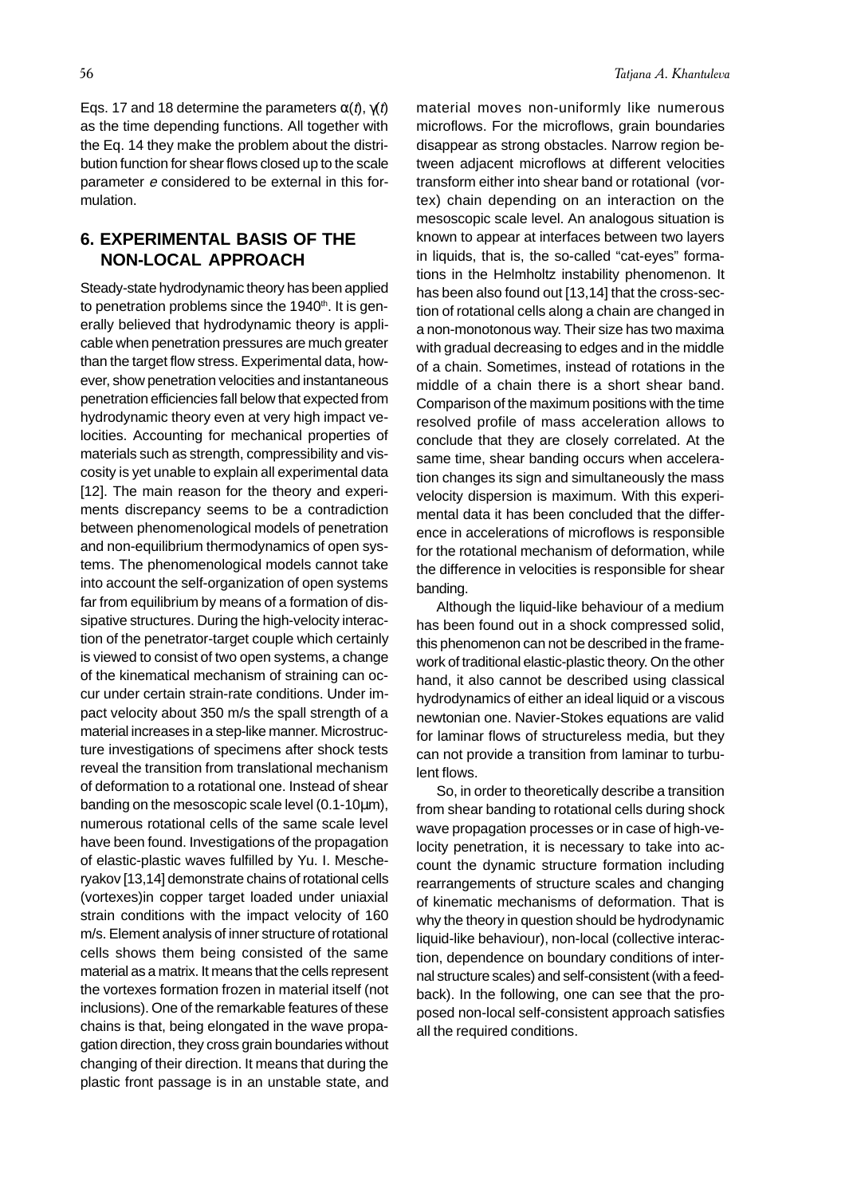Eqs. 17 and 18 determine the parameters  $\alpha(t)$ ,  $\gamma(t)$ as the time depending functions. All together with the Eq. 14 they make the problem about the distribution function for shear flows closed up to the scale parameter e considered to be external in this formulation.

## **6. EXPERIMENTAL BASIS OF THE NON-LOCAL APPROACH**

Steady-state hydrodynamic theory has been applied to penetration problems since the 1940<sup>th</sup>. It is generally believed that hydrodynamic theory is applicable when penetration pressures are much greater than the target flow stress. Experimental data, however, show penetration velocities and instantaneous penetration efficiencies fall below that expected from hydrodynamic theory even at very high impact velocities. Accounting for mechanical properties of materials such as strength, compressibility and viscosity is yet unable to explain all experimental data [12]. The main reason for the theory and experiments discrepancy seems to be a contradiction between phenomenological models of penetration and non-equilibrium thermodynamics of open systems. The phenomenological models cannot take into account the self-organization of open systems far from equilibrium by means of a formation of dissipative structures. During the high-velocity interaction of the penetrator-target couple which certainly is viewed to consist of two open systems, a change of the kinematical mechanism of straining can occur under certain strain-rate conditions. Under impact velocity about 350 m/s the spall strength of a material increases in a step-like manner. Microstructure investigations of specimens after shock tests reveal the transition from translational mechanism of deformation to a rotational one. Instead of shear banding on the mesoscopic scale level (0.1-10µm), numerous rotational cells of the same scale level have been found. Investigations of the propagation of elastic-plastic waves fulfilled by Yu. I. Mescheryakov [13,14] demonstrate chains of rotational cells (vortexes)in copper target loaded under uniaxial strain conditions with the impact velocity of 160 m/s. Element analysis of inner structure of rotational cells shows them being consisted of the same material as a matrix. It means that the cells represent the vortexes formation frozen in material itself (not inclusions). One of the remarkable features of these chains is that, being elongated in the wave propagation direction, they cross grain boundaries without changing of their direction. It means that during the plastic front passage is in an unstable state, and

material moves non-uniformly like numerous microflows. For the microflows, grain boundaries disappear as strong obstacles. Narrow region between adjacent microflows at different velocities transform either into shear band or rotational (vortex) chain depending on an interaction on the mesoscopic scale level. An analogous situation is known to appear at interfaces between two layers in liquids, that is, the so-called "cat-eyes" formations in the Helmholtz instability phenomenon. It has been also found out [13,14] that the cross-section of rotational cells along a chain are changed in a non-monotonous way. Their size has two maxima with gradual decreasing to edges and in the middle of a chain. Sometimes, instead of rotations in the middle of a chain there is a short shear band. Comparison of the maximum positions with the time resolved profile of mass acceleration allows to conclude that they are closely correlated. At the same time, shear banding occurs when acceleration changes its sign and simultaneously the mass velocity dispersion is maximum. With this experimental data it has been concluded that the difference in accelerations of microflows is responsible for the rotational mechanism of deformation, while the difference in velocities is responsible for shear banding.

Although the liquid-like behaviour of a medium has been found out in a shock compressed solid, this phenomenon can not be described in the framework of traditional elastic-plastic theory. On the other hand, it also cannot be described using classical hydrodynamics of either an ideal liquid or a viscous newtonian one. Navier-Stokes equations are valid for laminar flows of structureless media, but they can not provide a transition from laminar to turbulent flows.

So, in order to theoretically describe a transition from shear banding to rotational cells during shock wave propagation processes or in case of high-velocity penetration, it is necessary to take into account the dynamic structure formation including rearrangements of structure scales and changing of kinematic mechanisms of deformation. That is why the theory in question should be hydrodynamic liquid-like behaviour), non-local (collective interaction, dependence on boundary conditions of internal structure scales) and self-consistent (with a feedback). In the following, one can see that the proposed non-local self-consistent approach satisfies all the required conditions.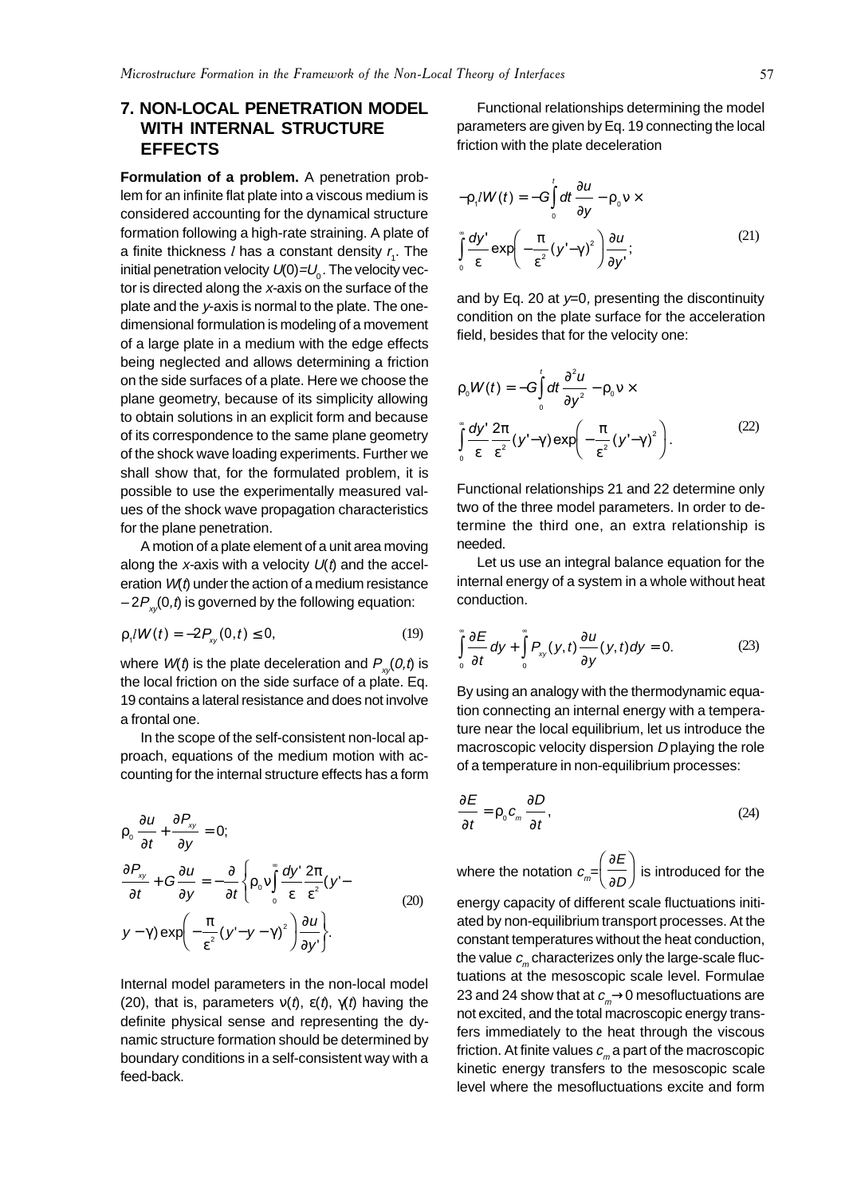# **7. NON-LOCAL PENETRATION MODEL WITH INTERNAL STRUCTURE EFFECTS**

**Formulation of a problem.** A penetration problem for an infinite flat plate into a viscous medium is considered accounting for the dynamical structure formation following a high-rate straining. A plate of a finite thickness *l* has a constant density  $r_{\scriptscriptstyle 4}$ . The initial penetration velocity  $U(0)=U_0$ . The velocity vector is directed along the x-axis on the surface of the plate and the y-axis is normal to the plate. The onedimensional formulation is modeling of a movement of a large plate in a medium with the edge effects being neglected and allows determining a friction on the side surfaces of a plate. Here we choose the plane geometry, because of its simplicity allowing to obtain solutions in an explicit form and because of its correspondence to the same plane geometry of the shock wave loading experiments. Further we shall show that, for the formulated problem, it is possible to use the experimentally measured values of the shock wave propagation characteristics for the plane penetration.

A motion of a plate element of a unit area moving along the x-axis with a velocity  $U(t)$  and the acceleration  $W(t)$  under the action of a medium resistance  $-2P_{y}(0,t)$  is governed by the following equation:

$$
\rho_{1}/W(t) = -2P_{xy}(0,t) \le 0, \qquad (19)
$$

where  $W(t)$  is the plate deceleration and  $P_{x}(0,t)$  is the local friction on the side surface of a plate. Eq. 19 contains a lateral resistance and does not involve a frontal one.

In the scope of the self-consistent non-local approach, equations of the medium motion with accounting for the internal structure effects has a form

$$
\rho_0 \frac{\partial u}{\partial t} + \frac{\partial P_{xy}}{\partial y} = 0;
$$
\n
$$
\frac{\partial P_{xy}}{\partial t} + G \frac{\partial u}{\partial y} = -\frac{\partial}{\partial t} \left\{ \rho_0 v \int_0^{\pi} \frac{dy'}{\varepsilon} \frac{2\pi}{\varepsilon^2} (y' - y - \gamma) \exp\left(-\frac{\pi}{\varepsilon^2} (y' - y - \gamma)^2\right) \frac{\partial u}{\partial y'} \right\}.
$$
\n(20)

Internal model parameters in the non-local model (20), that is, parameters  $v(t)$ ,  $\varepsilon(t)$ ,  $\gamma(t)$  having the definite physical sense and representing the dynamic structure formation should be determined by boundary conditions in a self-consistent way with a feed-back.

Functional relationships determining the model parameters are given by Eq. 19 connecting the local friction with the plate deceleration

$$
-\rho_{1}/W(t) = -G \int_{0}^{t} dt \frac{\partial u}{\partial y} - \rho_{0} v \times
$$

$$
\int_{0}^{\infty} \frac{dy'}{\varepsilon} \exp\left(-\frac{\pi}{\varepsilon^{2}}(y'-\gamma)^{2}\right) \frac{\partial u}{\partial y'};
$$
(21)

and by Eq. 20 at  $y=0$ , presenting the discontinuity condition on the plate surface for the acceleration field, besides that for the velocity one:

$$
\rho_0 W(t) = -G \int_0^t dt \frac{\partial^2 u}{\partial y^2} - \rho_0 v \times
$$
  

$$
\int_0^s \frac{dy'}{\varepsilon} \frac{2\pi}{\varepsilon^2} (y' - \gamma) \exp\left(-\frac{\pi}{\varepsilon^2} (y' - \gamma)^2\right).
$$
 (22)

Functional relationships 21 and 22 determine only two of the three model parameters. In order to determine the third one, an extra relationship is needed.

Let us use an integral balance equation for the internal energy of a system in a whole without heat conduction.

$$
\int_{0}^{\infty} \frac{\partial E}{\partial t} dy + \int_{0}^{\infty} P_{xy}(y, t) \frac{\partial u}{\partial y}(y, t) dy = 0.
$$
 (23)

By using an analogy with the thermodynamic equation connecting an internal energy with a temperature near the local equilibrium, let us introduce the macroscopic velocity dispersion D playing the role of a temperature in non-equilibrium processes:

$$
\frac{\partial E}{\partial t} = \rho_0 c_m \frac{\partial D}{\partial t},\tag{24}
$$

where the notation  $c_{\scriptscriptstyle m}^{\vphantom{\dagger}}\!\!\!=\!\!\left(\frac{\partial}{\partial\partial\varphi}\right)^2$ E  $\left(\frac{\partial E}{\partial D}\right)$  is introduced for the  $\sqrt{2}$ energy capacity of different scale fluctuations initiated by non-equilibrium transport processes. At the constant temperatures without the heat conduction, the value  $c_m$  characterizes only the large-scale fluctuations at the mesoscopic scale level. Formulae 23 and 24 show that at  $c_m \rightarrow 0$  mesofluctuations are not excited, and the total macroscopic energy transfers immediately to the heat through the viscous friction. At finite values  $c_m$  a part of the macroscopic kinetic energy transfers to the mesoscopic scale level where the mesofluctuations excite and form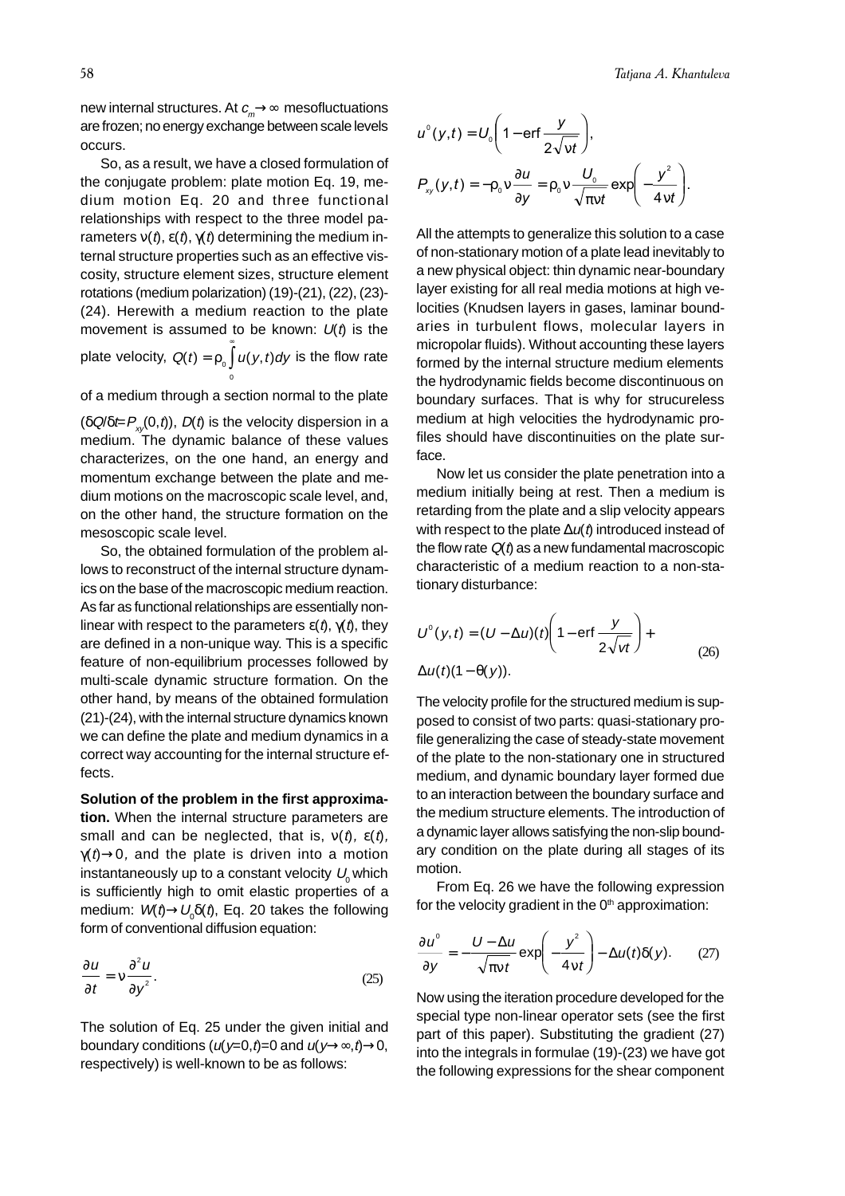new internal structures. At  $c_m \rightarrow \infty$  mesofluctuations are frozen; no energy exchange between scale levels occurs.

So, as a result, we have a closed formulation of the conjugate problem: plate motion Eq. 19, medium motion Eq. 20 and three functional relationships with respect to the three model parameters  $v(t)$ ,  $\varepsilon(t)$ ,  $\gamma(t)$  determining the medium internal structure properties such as an effective viscosity, structure element sizes, structure element rotations (medium polarization) (19)-(21), (22), (23)- (24). Herewith a medium reaction to the plate movement is assumed to be known:  $U(t)$  is the plate velocity,  $Q(t) = \rho_0 \int_a^b u(y, t) dy$ 0 is the flow rate

of a medium through a section normal to the plate

 $(\delta Q/\delta t = P_{x}(0,t))$ ,  $D(t)$  is the velocity dispersion in a medium. The dynamic balance of these values characterizes, on the one hand, an energy and momentum exchange between the plate and medium motions on the macroscopic scale level, and, on the other hand, the structure formation on the mesoscopic scale level.

So, the obtained formulation of the problem allows to reconstruct of the internal structure dynamics on the base of the macroscopic medium reaction. As far as functional relationships are essentially nonlinear with respect to the parameters  $\varepsilon(t)$ ,  $\gamma(t)$ , they are defined in a non-unique way. This is a specific feature of non-equilibrium processes followed by multi-scale dynamic structure formation. On the other hand, by means of the obtained formulation (21)-(24), with the internal structure dynamics known we can define the plate and medium dynamics in a correct way accounting for the internal structure effects.

**Solution of the problem in the first approximation.** When the internal structure parameters are small and can be neglected, that is,  $v(t)$ ,  $\varepsilon(t)$ ,  $\gamma(t) \rightarrow 0$ , and the plate is driven into a motion instantaneously up to a constant velocity  $U_0$  which is sufficiently high to omit elastic properties of a medium:  $W(t)$  $\rightarrow$ U<sub>0</sub> $\delta$ ( $t$ ), Eq. 20 takes the following form of conventional diffusion equation:

$$
\frac{\partial u}{\partial t} = v \frac{\partial^2 u}{\partial y^2}.
$$
 (25)

The solution of Eq. 25 under the given initial and boundary conditions  $(u(y=0,t)=0$  and  $u(y\rightarrow\infty,t)\rightarrow 0$ , respectively) is well-known to be as follows:

$$
u^{0}(y,t) = U_{0}\left(1 - \text{erf}\frac{y}{2\sqrt{vt}}\right),
$$
  

$$
P_{xy}(y,t) = -\rho_{0}v\frac{\partial u}{\partial y} = \rho_{0}v\frac{U_{0}}{\sqrt{\pi vt}}\exp\left(-\frac{y^{2}}{4vt}\right).
$$

All the attempts to generalize this solution to a case of non-stationary motion of a plate lead inevitably to a new physical object: thin dynamic near-boundary layer existing for all real media motions at high velocities (Knudsen layers in gases, laminar boundaries in turbulent flows, molecular layers in micropolar fluids). Without accounting these layers formed by the internal structure medium elements the hydrodynamic fields become discontinuous on boundary surfaces. That is why for strucureless medium at high velocities the hydrodynamic profiles should have discontinuities on the plate surface.

Now let us consider the plate penetration into a medium initially being at rest. Then a medium is retarding from the plate and a slip velocity appears with respect to the plate  $\Delta u(t)$  introduced instead of the flow rate  $Q(t)$  as a new fundamental macroscopic characteristic of a medium reaction to a non-stationary disturbance:

$$
U^{0}(y,t) = (U - \Delta u)(t) \left(1 - \text{erf}\frac{y}{2\sqrt{vt}}\right) +
$$
  
 
$$
\Delta u(t)(1 - \theta(y)).
$$
 (26)

The velocity profile for the structured medium is supposed to consist of two parts: quasi-stationary profile generalizing the case of steady-state movement of the plate to the non-stationary one in structured medium, and dynamic boundary layer formed due to an interaction between the boundary surface and the medium structure elements. The introduction of a dynamic layer allows satisfying the non-slip boundary condition on the plate during all stages of its motion.

From Eq. 26 we have the following expression for the velocity gradient in the  $0<sup>th</sup>$  approximation:

$$
\frac{\partial u^{\circ}}{\partial y} = -\frac{U - \Delta u}{\sqrt{\pi vt}} \exp\left(-\frac{y^2}{4vt}\right) - \Delta u(t)\delta(y). \tag{27}
$$

Now using the iteration procedure developed for the special type non-linear operator sets (see the first part of this paper). Substituting the gradient (27) into the integrals in formulae (19)-(23) we have got the following expressions for the shear component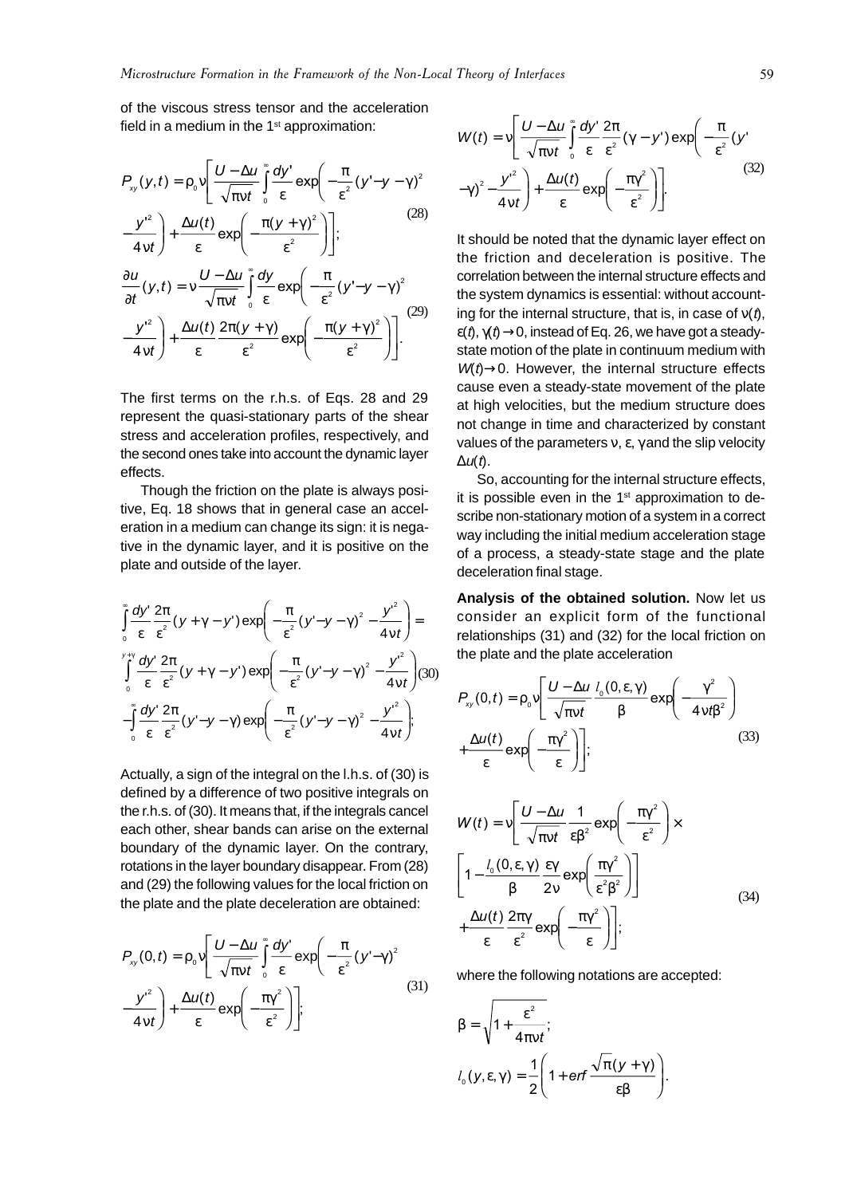of the viscous stress tensor and the acceleration field in a medium in the  $1<sup>st</sup>$  approximation:

$$
P_{xy}(y,t) = \rho_0 v \left[ \frac{U - \Delta u}{\sqrt{\pi vt}} \int_0^{\infty} \frac{dy'}{\varepsilon} \exp\left( -\frac{\pi}{\varepsilon^2} (y' - y - \gamma)^2 - \frac{y'^2}{4vt} \right) + \frac{\Delta u(t)}{\varepsilon} \exp\left( -\frac{\pi (y + \gamma)^2}{\varepsilon^2} \right) \right];
$$
\n(28)\n
$$
\frac{\partial u}{\partial y}(y,t) = v \frac{U - \Delta u}{\varepsilon} \int_0^{\infty} \frac{dy}{\varepsilon} \exp\left( -\frac{\pi}{\varepsilon} (y' - y - \gamma)^2 \right)
$$

$$
\frac{\partial u}{\partial t}(y,t) = v \frac{U - \Delta u}{\sqrt{\pi vt}} \int_{0}^{\infty} \frac{dy}{\varepsilon} \exp\left(-\frac{\pi}{\varepsilon^{2}}(y'-y-\gamma)^{2}\right)
$$

$$
-\frac{y'^{2}}{4vt}\bigg) + \frac{\Delta u(t)}{\varepsilon} \frac{2\pi (y+\gamma)}{\varepsilon^{2}} \exp\left(-\frac{\pi (y+\gamma)^{2}}{\varepsilon^{2}}\right)\bigg].
$$
 (29)

The first terms on the r.h.s. of Eqs. 28 and 29 represent the quasi-stationary parts of the shear stress and acceleration profiles, respectively, and the second ones take into account the dynamic layer effects.

Though the friction on the plate is always positive, Eq. 18 shows that in general case an acceleration in a medium can change its sign: it is negative in the dynamic layer, and it is positive on the plate and outside of the layer.

$$
\int_{0}^{\infty} \frac{dy'}{\varepsilon} \frac{2\pi}{\varepsilon^{2}} (y + \gamma - y') \exp\left(-\frac{\pi}{\varepsilon^{2}} (y' - y - \gamma)^{2} - \frac{y'^{2}}{4vt}\right) =
$$
\n
$$
\int_{0}^{y + \gamma} \frac{dy'}{\varepsilon} \frac{2\pi}{\varepsilon^{2}} (y + \gamma - y') \exp\left(-\frac{\pi}{\varepsilon^{2}} (y' - y - \gamma)^{2} - \frac{y'^{2}}{4vt}\right) (30)
$$
\n
$$
-\int_{0}^{\infty} \frac{dy'}{\varepsilon} \frac{2\pi}{\varepsilon^{2}} (y' - y - \gamma) \exp\left(-\frac{\pi}{\varepsilon^{2}} (y' - y - \gamma)^{2} - \frac{y'^{2}}{4vt}\right);
$$

Actually, a sign of the integral on the l.h.s. of (30) is defined by a difference of two positive integrals on the r.h.s. of (30). It means that, if the integrals cancel each other, shear bands can arise on the external boundary of the dynamic layer. On the contrary, rotations in the layer boundary disappear. From (28) and (29) the following values for the local friction on the plate and the plate deceleration are obtained:

$$
P_{xy}(0,t) = \rho_0 v \left[ \frac{U - \Delta u}{\sqrt{\pi vt}} \int_0^{\infty} \frac{dy'}{\varepsilon} \exp\left(-\frac{\pi}{\varepsilon^2} (y' - \gamma)^2 - \frac{y'^2}{4vt}\right) + \frac{\Delta u(t)}{\varepsilon} \exp\left(-\frac{\pi \gamma^2}{\varepsilon^2}\right) \right];
$$
\n(31)

$$
W(t) = v \left[ \frac{U - \Delta u}{\sqrt{\pi vt}} \int_{0}^{\infty} \frac{dy'}{\varepsilon} \frac{2\pi}{\varepsilon^{2}} (\gamma - y') \exp\left(-\frac{\pi}{\varepsilon^{2}} (y' - \gamma)^{2} - \frac{y'^{2}}{4vt}\right) + \frac{\Delta u(t)}{\varepsilon} \exp\left(-\frac{\pi y^{2}}{\varepsilon^{2}}\right) \right].
$$
 (32)

It should be noted that the dynamic layer effect on the friction and deceleration is positive. The correlation between the internal structure effects and the system dynamics is essential: without accounting for the internal structure, that is, in case of  $v(t)$ ,  $\varepsilon(t)$ ,  $\gamma(t) \rightarrow 0$ , instead of Eq. 26, we have got a steadystate motion of the plate in continuum medium with  $W(t) \rightarrow 0$ . However, the internal structure effects cause even a steady-state movement of the plate at high velocities, but the medium structure does not change in time and characterized by constant values of the parameters ν, ε, γ and the slip velocity  $\Delta u(t)$ .

So, accounting for the internal structure effects, it is possible even in the  $1<sup>st</sup>$  approximation to describe non-stationary motion of a system in a correct way including the initial medium acceleration stage of a process, a steady-state stage and the plate deceleration final stage.

**Analysis of the obtained solution.** Now let us consider an explicit form of the functional relationships (31) and (32) for the local friction on the plate and the plate acceleration

$$
P_{xy}(0,t) = \rho_0 v \left[ \frac{U - \Delta u}{\sqrt{\pi v t}} \frac{l_0(0,\epsilon,\gamma)}{\beta} \exp\left(-\frac{\gamma^2}{4v t \beta^2}\right) + \frac{\Delta u(t)}{\epsilon} \exp\left(-\frac{\pi \gamma^2}{\epsilon}\right) \right];
$$
\n(33)

$$
W(t) = v \left[ \frac{U - \Delta u}{\sqrt{\pi vt}} \frac{1}{\epsilon \beta^2} \exp\left(-\frac{\pi \gamma^2}{\epsilon^2}\right) \times \left[1 - \frac{l_0 (0, \epsilon, \gamma)}{\beta} \frac{\epsilon \gamma}{2v} \exp\left(\frac{\pi \gamma^2}{\epsilon^2 \beta^2}\right)\right] \times \left[4 - \frac{\Delta u(t)}{\epsilon} \frac{2\pi \gamma}{\epsilon^2} \exp\left(-\frac{\pi \gamma^2}{\epsilon}\right)\right],
$$
\n(34)

where the following notations are accepted:

$$
\beta = \sqrt{1 + \frac{\varepsilon^2}{4\pi vt}};
$$
  

$$
l_0(y, \varepsilon, \gamma) = \frac{1}{2} \left( 1 + \text{erf} \frac{\sqrt{\pi}(y + \gamma)}{\varepsilon \beta} \right).
$$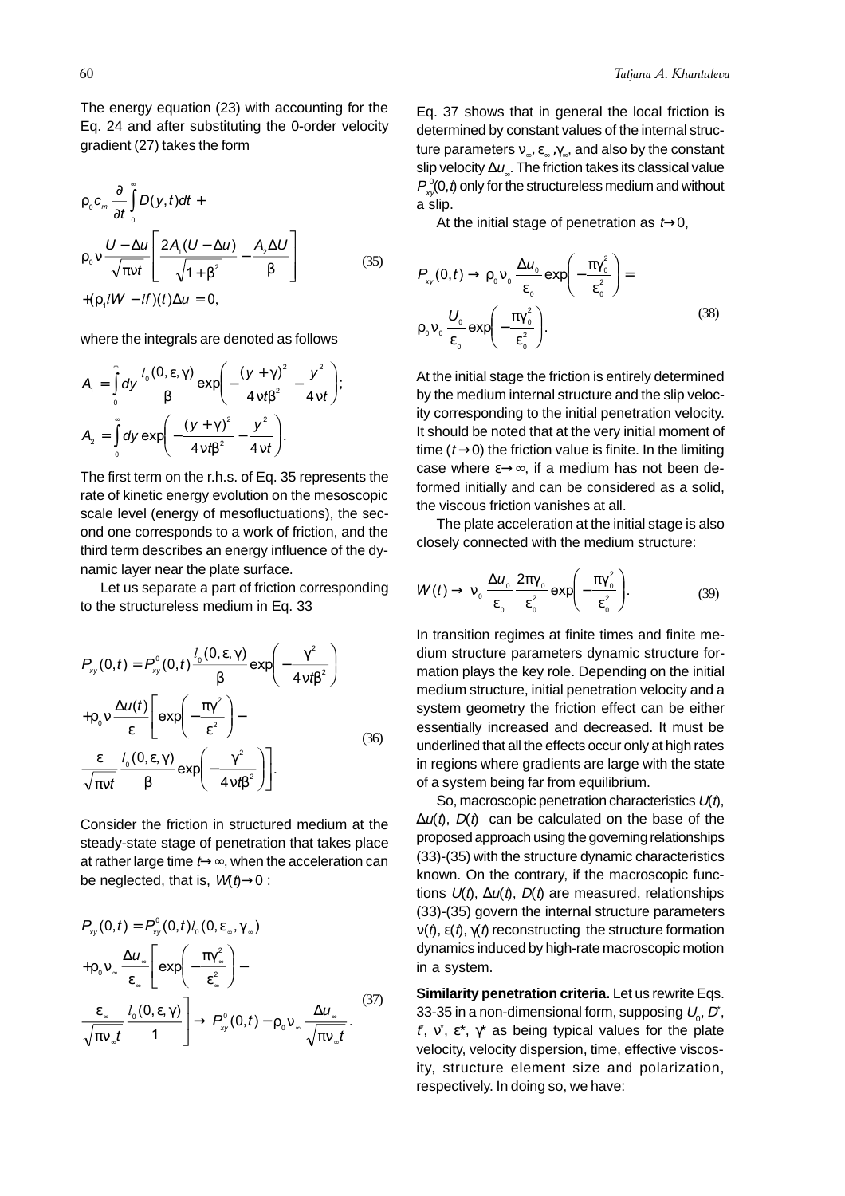The energy equation (23) with accounting for the Eq. 24 and after substituting the 0-order velocity gradient (27) takes the form

$$
\rho_0 c_m \frac{\partial}{\partial t} \int_0^{\infty} D(y, t) dt +
$$
\n
$$
\rho_0 v \frac{U - \Delta u}{\sqrt{\pi vt}} \left[ \frac{2A_1 (U - \Delta u)}{\sqrt{1 + \beta^2}} - \frac{A_2 \Delta U}{\beta} \right]
$$
\n
$$
+(p_1 l W - l f)(t) \Delta u = 0,
$$
\n(35)

where the integrals are denoted as follows

$$
A_{1} = \int_{0}^{\infty} dy \frac{l_{0}(0, \varepsilon, \gamma)}{\beta} \exp\left(-\frac{(y + \gamma)^{2}}{4v t \beta^{2}} - \frac{y^{2}}{4v t}\right);
$$
  

$$
A_{2} = \int_{0}^{\infty} dy \exp\left(-\frac{(y + \gamma)^{2}}{4v t \beta^{2}} - \frac{y^{2}}{4v t}\right).
$$

The first term on the r.h.s. of Eq. 35 represents the rate of kinetic energy evolution on the mesoscopic scale level (energy of mesofluctuations), the second one corresponds to a work of friction, and the third term describes an energy influence of the dynamic layer near the plate surface.

Let us separate a part of friction corresponding to the structureless medium in Eq. 33

$$
P_{xy}(0,t) = P_{xy}^{0}(0,t) \frac{l_0(0,\varepsilon,\gamma)}{\beta} \exp\left(-\frac{\gamma^2}{4\nu t\beta^2}\right)
$$
  
+
$$
P_0 v \frac{\Delta u(t)}{\varepsilon} \left[\exp\left(-\frac{\pi\gamma^2}{\varepsilon^2}\right) - \frac{\varepsilon}{\sqrt{\pi\nu t}} \frac{l_0(0,\varepsilon,\gamma)}{\beta} \exp\left(-\frac{\gamma^2}{4\nu t\beta^2}\right)\right].
$$
 (36)

Consider the friction in structured medium at the steady-state stage of penetration that takes place at rather large time  $t \rightarrow \infty$ , when the acceleration can be neglected, that is,  $W(t) \rightarrow 0$ :

$$
P_{xy}(0,t) = P_{xy}^{0}(0,t)l_{0}(0,\varepsilon_{\infty},\gamma_{\infty})
$$
  
+
$$
\rho_{0}v_{\infty} \frac{\Delta u_{\infty}}{\varepsilon_{\infty}} \left[ exp\left(-\frac{\pi \gamma_{\infty}^{2}}{\varepsilon_{\infty}^{2}}\right) - \frac{\varepsilon_{\infty}}{\sqrt{\pi v_{\infty}t}} \frac{l_{0}(0,\varepsilon,\gamma)}{1} \right] \rightarrow P_{xy}^{0}(0,t) - \rho_{0}v_{\infty} \frac{\Delta u_{\infty}}{\sqrt{\pi v_{\infty}t}}.
$$
 (37)

Eq. 37 shows that in general the local friction is determined by constant values of the internal structure parameters  $v_{\alpha}, \varepsilon_{\alpha}, \gamma_{\alpha}$ , and also by the constant slip velocity  $\Delta u$ . The friction takes its classical value  $P_{\mathsf{x}\mathsf{y}}^{\mathsf{0}}(\mathsf{0},\mathsf{t})$  only for the structureless medium and without a slip.

At the initial stage of penetration as  $t\rightarrow 0$ ,

$$
P_{xy}(0,t) \rightarrow \rho_0 v_0 \frac{\Delta u_0}{\epsilon_0} \exp\left(-\frac{\pi \gamma_0^2}{\epsilon_0^2}\right) =
$$
  

$$
\rho_0 v_0 \frac{U_0}{\epsilon_0} \exp\left(-\frac{\pi \gamma_0^2}{\epsilon_0^2}\right).
$$
 (38)

At the initial stage the friction is entirely determined by the medium internal structure and the slip velocity corresponding to the initial penetration velocity. It should be noted that at the very initial moment of time ( $t \rightarrow 0$ ) the friction value is finite. In the limiting case where  $\varepsilon \rightarrow \infty$ , if a medium has not been deformed initially and can be considered as a solid, the viscous friction vanishes at all.

The plate acceleration at the initial stage is also closely connected with the medium structure:

$$
W(t) \to v_0 \frac{\Delta u_0}{\epsilon_0} \frac{2\pi \gamma_0}{\epsilon_0^2} \exp\left(-\frac{\pi \gamma_0^2}{\epsilon_0^2}\right).
$$
 (39)

In transition regimes at finite times and finite medium structure parameters dynamic structure formation plays the key role. Depending on the initial medium structure, initial penetration velocity and a system geometry the friction effect can be either essentially increased and decreased. It must be underlined that all the effects occur only at high rates in regions where gradients are large with the state of a system being far from equilibrium.

So, macroscopic penetration characteristics  $U(t)$ ,  $\Delta u(t)$ ,  $D(t)$  can be calculated on the base of the proposed approach using the governing relationships (33)-(35) with the structure dynamic characteristics known. On the contrary, if the macroscopic functions  $U(t)$ ,  $\Delta u(t)$ ,  $D(t)$  are measured, relationships (33)-(35) govern the internal structure parameters  $ν(t)$ ,  $ε(t)$ ,  $γ(t)$  reconstructing the structure formation dynamics induced by high-rate macroscopic motion in a system.

**Similarity penetration criteria.** Let us rewrite Eqs. 33-35 in a non-dimensional form, supposing  $\mathit{U}_{_{\textrm{0}}}$ ,  $\mathit{D}$  ,  $t$ , v, ε\*,  $\gamma$ \* as being typical values for the plate velocity, velocity dispersion, time, effective viscosity, structure element size and polarization, respectively. In doing so, we have: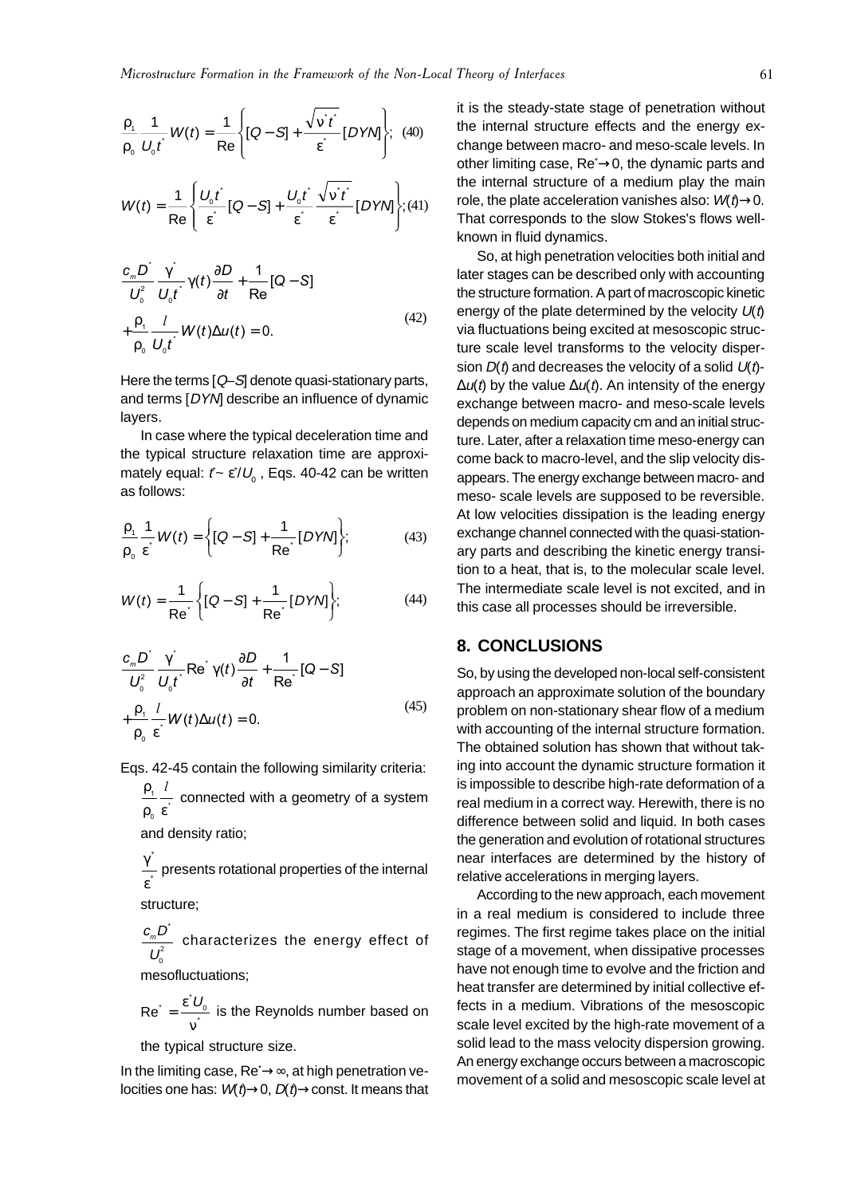$$
\frac{\rho_1}{\rho_0} \frac{1}{U_0 t} W(t) = \frac{1}{\text{Re}} \left\{ [Q - S] + \frac{\sqrt{v' t'}}{\varepsilon} [DYN] \right\}; \tag{40}
$$
\n
$$
W(t) = \frac{1}{\text{Re}} \left\{ \frac{U_0 t}{\varepsilon} [Q - S] + \frac{U_0 t}{\varepsilon} \frac{\sqrt{v' t'}}{\varepsilon} [DYN] \right\}; \tag{41}
$$

$$
\frac{c_m D^2}{U_0^2} \frac{\gamma^2}{U_0 t^2} \gamma(t) \frac{\partial D}{\partial t} + \frac{1}{\text{Re}} [Q - S] + \frac{\rho_1}{\rho_0} \frac{l}{U_0 t^2} W(t) \Delta u(t) = 0.
$$
\n(42)

Here the terms  $[Q-S]$  denote quasi-stationary parts, and terms [DYN] describe an influence of dynamic layers.

In case where the typical deceleration time and the typical structure relaxation time are approximately equal:  $\it{f}$ ∼ ε $^*/\rm{U}_{_0}$  , Eqs. 40-42 can be written as follows:

$$
\frac{\rho_1}{\rho_0} \frac{1}{\varepsilon} W(t) = \left\{ [Q - S] + \frac{1}{\text{Re} \cdot} [DYN] \right\};\tag{43}
$$

$$
W(t) = \frac{1}{\text{Re}^{2}} \left\{ [Q - S] + \frac{1}{\text{Re}^{2}} [DYN] \right\};
$$
 (44)

$$
\frac{c_{m}D^{2}}{U_{0}^{2}}\frac{\gamma}{U_{0}t}Re\gamma(t)\frac{\partial D}{\partial t} + \frac{1}{Re}\left[Q-S\right]
$$
\n
$$
+\frac{\rho_{1}}{\rho_{0}}\frac{l}{\varepsilon}W(t)\Delta u(t) = 0.
$$
\n(45)

Eqs. 42-45 contain the following similarity criteria:

ρ ρ ε 1 0 l  $\pm$  connected with a geometry of a system

and density ratio;

γ ε \*  $\frac{\ }{r}$  presents rotational properties of the internal

structure;

$$
\frac{c_{m}D^{\dagger}}{U_{0}^{2}}
$$
 characterizes the energy effect of

mesofluctuations;

 $Re^{\dagger} = \frac{\varepsilon^2 L}{v^2}$  $U_{_{\rm O}}$  is the Reynolds number based on

the typical structure size.

In the limiting case, Re<sup>\*</sup>→∞, at high penetration velocities one has:  $W(t) \rightarrow 0$ ,  $D(t) \rightarrow const.$  It means that it is the steady-state stage of penetration without the internal structure effects and the energy exchange between macro- and meso-scale levels. In other limiting case, Re<sup>∗</sup>→0, the dynamic parts and the internal structure of a medium play the main role, the plate acceleration vanishes also:  $W(t) \rightarrow 0$ . That corresponds to the slow Stokes's flows wellknown in fluid dynamics.

So, at high penetration velocities both initial and later stages can be described only with accounting the structure formation. A part of macroscopic kinetic energy of the plate determined by the velocity  $U(t)$ via fluctuations being excited at mesoscopic structure scale level transforms to the velocity dispersion  $D(t)$  and decreases the velocity of a solid  $U(t)$ - $\Delta u(t)$  by the value  $\Delta u(t)$ . An intensity of the energy exchange between macro- and meso-scale levels depends on medium capacity cm and an initial structure. Later, after a relaxation time meso-energy can come back to macro-level, and the slip velocity disappears. The energy exchange between macro- and meso- scale levels are supposed to be reversible. At low velocities dissipation is the leading energy exchange channel connected with the quasi-stationary parts and describing the kinetic energy transition to a heat, that is, to the molecular scale level. The intermediate scale level is not excited, and in this case all processes should be irreversible.

#### **8. CONCLUSIONS**

So, by using the developed non-local self-consistent approach an approximate solution of the boundary problem on non-stationary shear flow of a medium with accounting of the internal structure formation. The obtained solution has shown that without taking into account the dynamic structure formation it is impossible to describe high-rate deformation of a real medium in a correct way. Herewith, there is no difference between solid and liquid. In both cases the generation and evolution of rotational structures near interfaces are determined by the history of relative accelerations in merging layers.

According to the new approach, each movement in a real medium is considered to include three regimes. The first regime takes place on the initial stage of a movement, when dissipative processes have not enough time to evolve and the friction and heat transfer are determined by initial collective effects in a medium. Vibrations of the mesoscopic scale level excited by the high-rate movement of a solid lead to the mass velocity dispersion growing. An energy exchange occurs between a macroscopic movement of a solid and mesoscopic scale level at